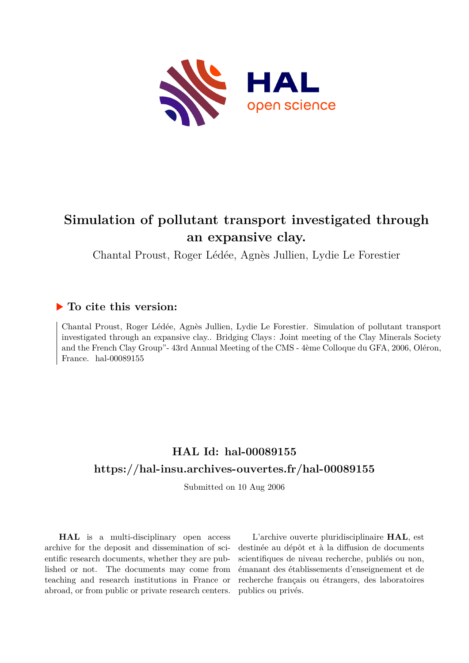

# **Simulation of pollutant transport investigated through an expansive clay.**

Chantal Proust, Roger Lédée, Agnès Jullien, Lydie Le Forestier

### **To cite this version:**

Chantal Proust, Roger Lédée, Agnès Jullien, Lydie Le Forestier. Simulation of pollutant transport investigated through an expansive clay.. Bridging Clays : Joint meeting of the Clay Minerals Society and the French Clay Group"- 43rd Annual Meeting of the CMS - 4ème Colloque du GFA, 2006, Oléron, France. hal- $00089155$ 

## **HAL Id: hal-00089155 <https://hal-insu.archives-ouvertes.fr/hal-00089155>**

Submitted on 10 Aug 2006

**HAL** is a multi-disciplinary open access archive for the deposit and dissemination of scientific research documents, whether they are published or not. The documents may come from teaching and research institutions in France or abroad, or from public or private research centers.

L'archive ouverte pluridisciplinaire **HAL**, est destinée au dépôt et à la diffusion de documents scientifiques de niveau recherche, publiés ou non, émanant des établissements d'enseignement et de recherche français ou étrangers, des laboratoires publics ou privés.